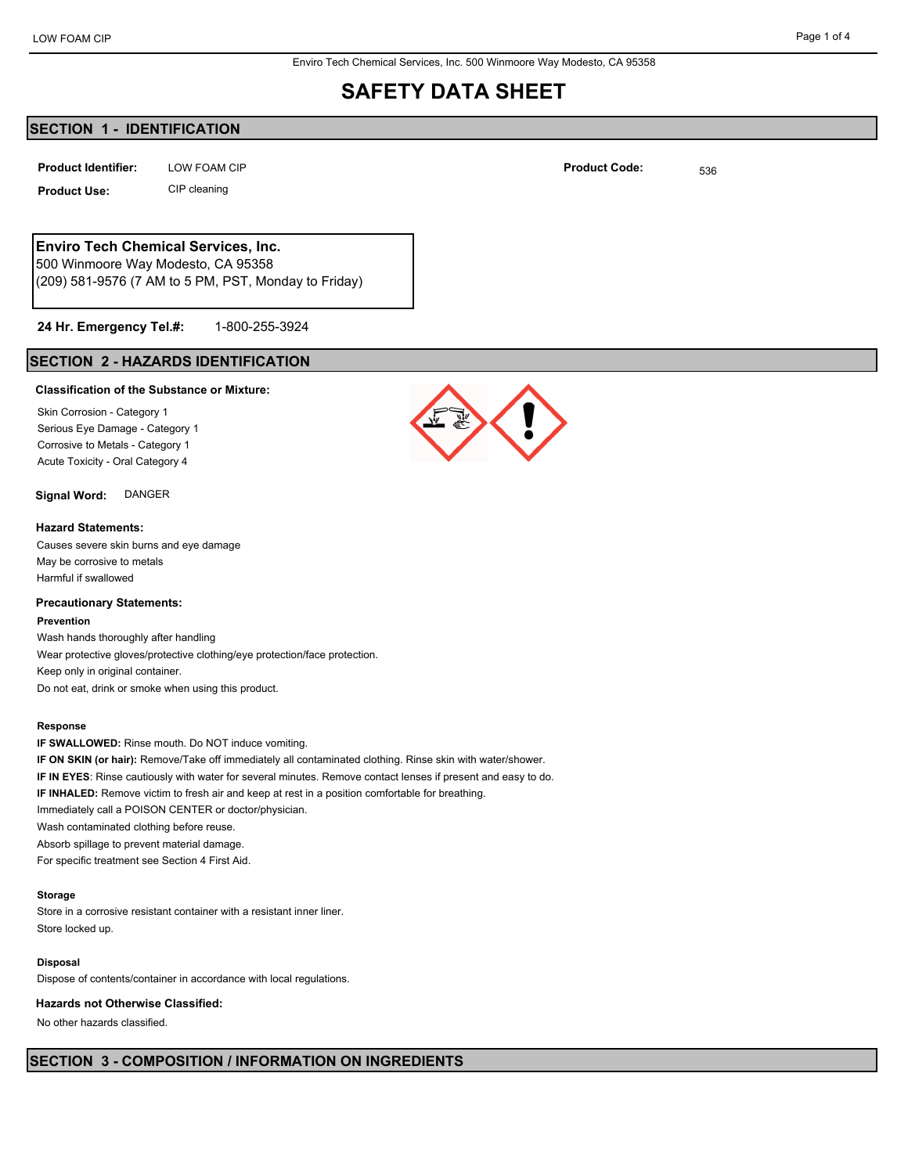Enviro Tech Chemical Services, Inc. 500 Winmoore Way Modesto, CA 95358

# **SAFETY DATA SHEET**

# **SECTION 1 - IDENTIFICATION**

LOW FOAM CIP **Product Identifier:** LOW FOAM CIP **Product Code:** 536

**Product Use:** CIP cleaning

# **Enviro Tech Chemical Services, Inc.**

500 Winmoore Way Modesto, CA 95358 (209) 581-9576 (7 AM to 5 PM, PST, Monday to Friday)

#### 1-800-255-3924 **24 Hr. Emergency Tel.#:**

# **SECTION 2 - HAZARDS IDENTIFICATION**

## **Classification of the Substance or Mixture:**

Skin Corrosion - Category 1 Serious Eye Damage - Category 1 Corrosive to Metals - Category 1 Acute Toxicity - Oral Category 4

# **Signal Word:** DANGER

#### **Hazard Statements:**

Causes severe skin burns and eye damage May be corrosive to metals Harmful if swallowed

## **Precautionary Statements:**

### **Prevention**

Wash hands thoroughly after handling Wear protective gloves/protective clothing/eye protection/face protection. Keep only in original container. Do not eat, drink or smoke when using this product.

#### **Response**

**IF SWALLOWED:** Rinse mouth. Do NOT induce vomiting. **IF ON SKIN (or hair):** Remove/Take off immediately all contaminated clothing. Rinse skin with water/shower. **IF IN EYES**: Rinse cautiously with water for several minutes. Remove contact lenses if present and easy to do. **IF INHALED:** Remove victim to fresh air and keep at rest in a position comfortable for breathing. Immediately call a POISON CENTER or doctor/physician. Wash contaminated clothing before reuse. Absorb spillage to prevent material damage. For specific treatment see Section 4 First Aid.

### **Storage**

Store in a corrosive resistant container with a resistant inner liner. Store locked up.

### **Disposal**

Dispose of contents/container in accordance with local regulations.

#### **Hazards not Otherwise Classified:**

No other hazards classified.



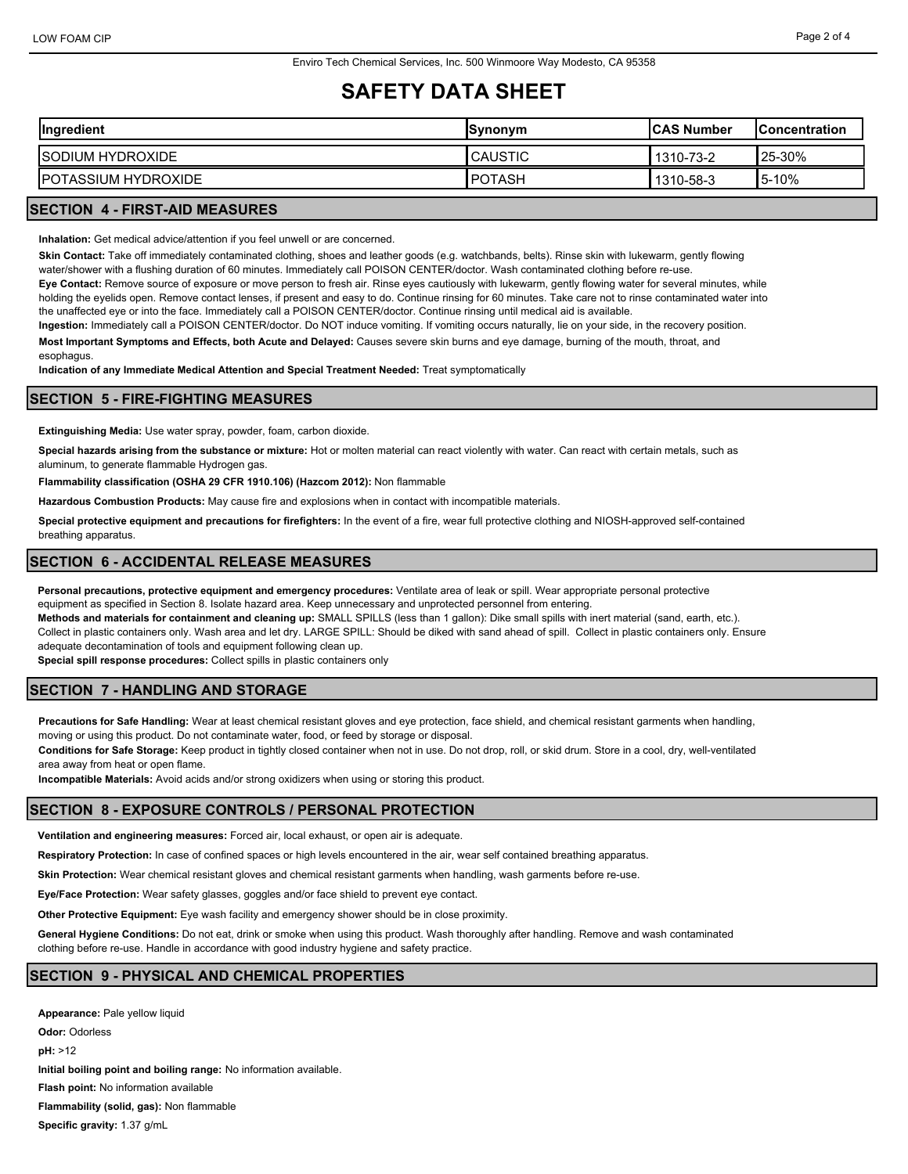# **SAFETY DATA SHEET**

| Ingredient                  | <b>Synonym</b>  | <b>ICAS Number</b> | IConcentration |
|-----------------------------|-----------------|--------------------|----------------|
| ISODIUM HYDROXIDE           | <b>CAUSTIC</b>  | 1310-73-2          | <b>25-30%</b>  |
| <b>IPOTASSIUM HYDROXIDE</b> | <b>I</b> POTASH | 1310-58-3          | $15-10%$       |

# **SECTION 4 - FIRST-AID MEASURES**

**Inhalation:** Get medical advice/attention if you feel unwell or are concerned.

**Skin Contact:** Take off immediately contaminated clothing, shoes and leather goods (e.g. watchbands, belts). Rinse skin with lukewarm, gently flowing water/shower with a flushing duration of 60 minutes. Immediately call POISON CENTER/doctor. Wash contaminated clothing before re-use.

**Eye Contact:** Remove source of exposure or move person to fresh air. Rinse eyes cautiously with lukewarm, gently flowing water for several minutes, while holding the eyelids open. Remove contact lenses, if present and easy to do. Continue rinsing for 60 minutes. Take care not to rinse contaminated water into the unaffected eye or into the face. Immediately call a POISON CENTER/doctor. Continue rinsing until medical aid is available.

**Ingestion:** Immediately call a POISON CENTER/doctor. Do NOT induce vomiting. If vomiting occurs naturally, lie on your side, in the recovery position.

**Most Important Symptoms and Effects, both Acute and Delayed:** Causes severe skin burns and eye damage, burning of the mouth, throat, and esophagus.

**Indication of any Immediate Medical Attention and Special Treatment Needed:** Treat symptomatically

# **SECTION 5 - FIRE-FIGHTING MEASURES**

**Extinguishing Media:** Use water spray, powder, foam, carbon dioxide.

**Special hazards arising from the substance or mixture:** Hot or molten material can react violently with water. Can react with certain metals, such as aluminum, to generate flammable Hydrogen gas.

**Flammability classification (OSHA 29 CFR 1910.106) (Hazcom 2012):** Non flammable

**Hazardous Combustion Products:** May cause fire and explosions when in contact with incompatible materials.

**Special protective equipment and precautions for firefighters:** In the event of a fire, wear full protective clothing and NIOSH-approved self-contained breathing apparatus.

# **SECTION 6 - ACCIDENTAL RELEASE MEASURES**

**Personal precautions, protective equipment and emergency procedures:** Ventilate area of leak or spill. Wear appropriate personal protective equipment as specified in Section 8. Isolate hazard area. Keep unnecessary and unprotected personnel from entering.

**Methods and materials for containment and cleaning up:** SMALL SPILLS (less than 1 gallon): Dike small spills with inert material (sand, earth, etc.).

Collect in plastic containers only. Wash area and let dry. LARGE SPILL: Should be diked with sand ahead of spill. Collect in plastic containers only. Ensure adequate decontamination of tools and equipment following clean up.

**Special spill response procedures:** Collect spills in plastic containers only

# **SECTION 7 - HANDLING AND STORAGE**

**Precautions for Safe Handling:** Wear at least chemical resistant gloves and eye protection, face shield, and chemical resistant garments when handling,

moving or using this product. Do not contaminate water, food, or feed by storage or disposal.

**Conditions for Safe Storage:** Keep product in tightly closed container when not in use. Do not drop, roll, or skid drum. Store in a cool, dry, well-ventilated area away from heat or open flame.

**Incompatible Materials:** Avoid acids and/or strong oxidizers when using or storing this product.

## **SECTION 8 - EXPOSURE CONTROLS / PERSONAL PROTECTION**

**Ventilation and engineering measures:** Forced air, local exhaust, or open air is adequate.

**Respiratory Protection:** In case of confined spaces or high levels encountered in the air, wear self contained breathing apparatus.

**Skin Protection:** Wear chemical resistant gloves and chemical resistant garments when handling, wash garments before re-use.

**Eye/Face Protection:** Wear safety glasses, goggles and/or face shield to prevent eye contact.

**Other Protective Equipment:** Eye wash facility and emergency shower should be in close proximity.

**General Hygiene Conditions:** Do not eat, drink or smoke when using this product. Wash thoroughly after handling. Remove and wash contaminated clothing before re-use. Handle in accordance with good industry hygiene and safety practice.

# **SECTION 9 - PHYSICAL AND CHEMICAL PROPERTIES**

**Appearance:** Pale yellow liquid **Odor:** Odorless **pH:** >12 **Initial boiling point and boiling range:** No information available. **Flash point:** No information available **Flammability (solid, gas):** Non flammable **Specific gravity:** 1.37 g/mL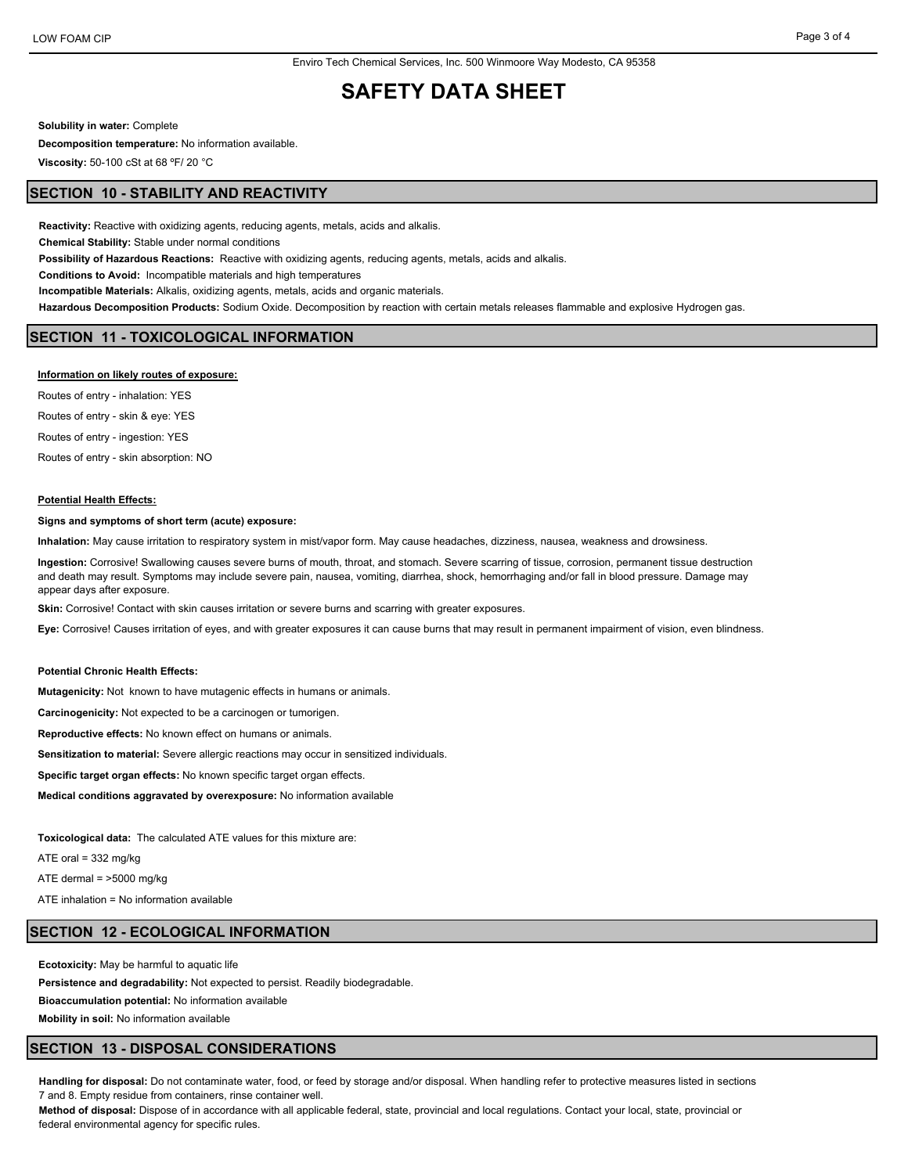# **SAFETY DATA SHEET**

**Solubility in water:** Complete

**Decomposition temperature:** No information available.

**Viscosity:** 50-100 cSt at 68 ºF/ 20 °C

## **SECTION 10 - STABILITY AND REACTIVITY**

**Reactivity:** Reactive with oxidizing agents, reducing agents, metals, acids and alkalis. **Chemical Stability:** Stable under normal conditions **Possibility of Hazardous Reactions:** Reactive with oxidizing agents, reducing agents, metals, acids and alkalis. **Conditions to Avoid:** Incompatible materials and high temperatures **Incompatible Materials:** Alkalis, oxidizing agents, metals, acids and organic materials. **Hazardous Decomposition Products:** Sodium Oxide. Decomposition by reaction with certain metals releases flammable and explosive Hydrogen gas.

### **SECTION 11 - TOXICOLOGICAL INFORMATION**

#### **Information on likely routes of exposure:**

Routes of entry - inhalation: YES Routes of entry - skin & eye: YES Routes of entry - ingestion: YES Routes of entry - skin absorption: NO

#### **Potential Health Effects:**

#### **Signs and symptoms of short term (acute) exposure:**

**Inhalation:** May cause irritation to respiratory system in mist/vapor form. May cause headaches, dizziness, nausea, weakness and drowsiness.

**Ingestion:** Corrosive! Swallowing causes severe burns of mouth, throat, and stomach. Severe scarring of tissue, corrosion, permanent tissue destruction and death may result. Symptoms may include severe pain, nausea, vomiting, diarrhea, shock, hemorrhaging and/or fall in blood pressure. Damage may appear days after exposure.

**Skin:** Corrosive! Contact with skin causes irritation or severe burns and scarring with greater exposures.

**Eye:** Corrosive! Causes irritation of eyes, and with greater exposures it can cause burns that may result in permanent impairment of vision, even blindness.

### **Potential Chronic Health Effects:**

**Mutagenicity:** Not known to have mutagenic effects in humans or animals.

**Carcinogenicity:** Not expected to be a carcinogen or tumorigen.

**Reproductive effects:** No known effect on humans or animals.

**Sensitization to material:** Severe allergic reactions may occur in sensitized individuals.

**Specific target organ effects:** No known specific target organ effects.

**Medical conditions aggravated by overexposure:** No information available

**Toxicological data:** The calculated ATE values for this mixture are:

ATE oral = 332 mg/kg

ATE dermal = >5000 mg/kg

ATE inhalation = No information available

### **SECTION 12 - ECOLOGICAL INFORMATION**

**Ecotoxicity:** May be harmful to aquatic life

**Persistence and degradability:** Not expected to persist. Readily biodegradable.

**Bioaccumulation potential:** No information available

**Mobility in soil:** No information available

### **SECTION 13 - DISPOSAL CONSIDERATIONS**

**Handling for disposal:** Do not contaminate water, food, or feed by storage and/or disposal. When handling refer to protective measures listed in sections 7 and 8. Empty residue from containers, rinse container well.

**Method of disposal:** Dispose of in accordance with all applicable federal, state, provincial and local regulations. Contact your local, state, provincial or federal environmental agency for specific rules.